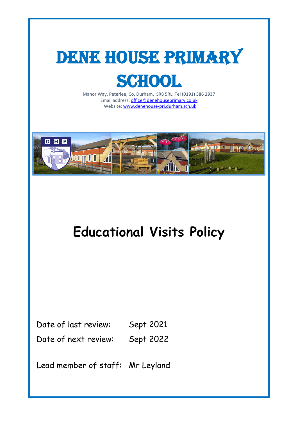

Manor Way, Peterlee, Co. Durham. SR8 5RL. Tel (0191) 586 2937 Email address[: office@denehouseprimary.co.uk](mailto:office@denehouseprimary.co.uk) Website[: www.denehouse-pri.durham.sch.uk](http://www.denehouse-pri.durham.sch.uk/)



# **Educational Visits Policy**

Date of last review: Sept 2021

Date of next review: Sept 2022

Lead member of staff: Mr Leyland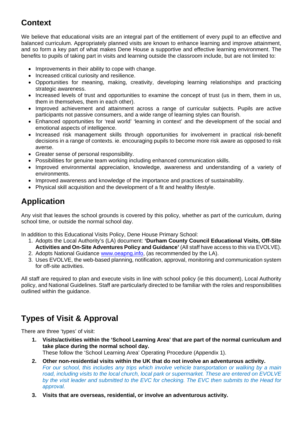# **Context**

We believe that educational visits are an integral part of the entitlement of every pupil to an effective and balanced curriculum. Appropriately planned visits are known to enhance learning and improve attainment, and so form a key part of what makes Dene House a supportive and effective learning environment. The benefits to pupils of taking part in visits and learning outside the classroom include, but are not limited to:

- Improvements in their ability to cope with change.
- Increased critical curiosity and resilience.
- Opportunities for meaning, making, creativity, developing learning relationships and practicing strategic awareness.
- Increased levels of trust and opportunities to examine the concept of trust (us in them, them in us, them in themselves, them in each other).
- Improved achievement and attainment across a range of curricular subjects. Pupils are active participants not passive consumers, and a wide range of learning styles can flourish.
- Enhanced opportunities for 'real world' 'learning in context' and the development of the social and emotional aspects of intelligence.
- Increased risk management skills through opportunities for involvement in practical risk-benefit decisions in a range of contexts. ie. encouraging pupils to become more risk aware as opposed to risk averse.
- Greater sense of personal responsibility.
- Possibilities for genuine team working including enhanced communication skills.
- Improved environmental appreciation, knowledge, awareness and understanding of a variety of environments.
- Improved awareness and knowledge of the importance and practices of sustainability.
- Physical skill acquisition and the development of a fit and healthy lifestyle.

# **Application**

Any visit that leaves the school grounds is covered by this policy, whether as part of the curriculum, during school time, or outside the normal school day.

In addition to this Educational Visits Policy, Dene House Primary School:

- 1. Adopts the Local Authority's (LA) document: **'Durham County Council Educational Visits, Off-Site Activities and On-Site Adventures Policy and Guidance'** (All staff have access to this via EVOLVE).
- 2. Adopts National Guidance [www.oeapng.info,](http://www.oeapng.info/) (as recommended by the LA).
- 3. Uses EVOLVE, the web-based planning, notification, approval, monitoring and communication system for off-site activities.

All staff are required to plan and execute visits in line with school policy (ie this document), Local Authority policy, and National Guidelines. Staff are particularly directed to be familiar with the roles and responsibilities outlined within the guidance.

# **Types of Visit & Approval**

There are three 'types' of visit:

**1. Visits/activities within the 'School Learning Area' that are part of the normal curriculum and take place during the normal school day.**

These follow the 'School Learning Area' Operating Procedure (Appendix 1).

- **2. Other non-residential visits within the UK that do not involve an adventurous activity.** *For our school, this includes any trips which involve vehicle transportation or walking by a main road, including visits to the local church, local park or supermarket. These are entered on EVOLVE by the visit leader and submitted to the EVC for checking. The EVC then submits to the Head for approval.*
- **3. Visits that are overseas, residential, or involve an adventurous activity.**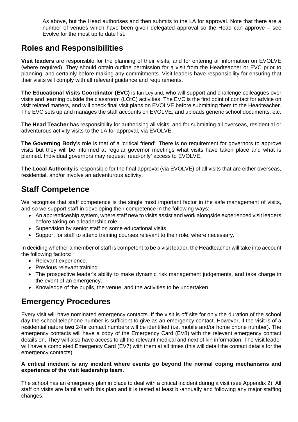As above, but the Head authorises and then submits to the LA for approval. Note that there are a number of venues which have been given delegated approval so the Head can approve – see Evolve for the most up to date list.

## **Roles and Responsibilities**

**Visit leaders** are responsible for the planning of their visits, and for entering all information on EVOLVE (where required). They should obtain outline permission for a visit from the Headteacher or EVC prior to planning, and certainly before making any commitments. Visit leaders have responsibility for ensuring that their visits will comply with all relevant guidance and requirements.

**The Educational Visits Coordinator (EVC)** is Ian Leyland, who will support and challenge colleagues over visits and learning outside the classroom (LOtC) activities. The EVC is the first point of contact for advice on visit related matters, and will check final visit plans on EVOLVE before submitting them to the Headteacher. The EVC sets up and manages the staff accounts on EVOLVE, and uploads generic school documents, etc.

**The Head Teacher** has responsibility for authorising all visits, and for submitting all overseas, residential or adventurous activity visits to the LA for approval, via EVOLVE.

**The Governing Body**'s role is that of a 'critical friend'. There is no requirement for governors to approve visits but they will be informed at regular governor meetings what visits have taken place and what is planned. Individual governors may request 'read-only' access to EVOLVE.

**The Local Authority** is responsible for the final approval (via EVOLVE) of all visits that are either overseas, residential, and/or involve an adventurous activity.

# **Staff Competence**

We recognise that staff competence is the single most important factor in the safe management of visits, and so we support staff in developing their competence in the following ways:

- An apprenticeship system, where staff new to visits assist and work alongside experienced visit leaders before taking on a leadership role.
- Supervision by senior staff on some educational visits.
- Support for staff to attend training courses relevant to their role, where necessary.

In deciding whether a member of staff is competent to be a visit leader, the Headteacher will take into account the following factors:

- Relevant experience.
- Previous relevant training.
- The prospective leader's ability to make dynamic risk management judgements, and take charge in the event of an emergency.
- Knowledge of the pupils, the venue, and the activities to be undertaken.

#### **Emergency Procedures**

Every visit will have nominated emergency contacts. If the visit is off site for only the duration of the school day the school telephone number is sufficient to give as an emergency contact. However, if the visit is of a residential nature **two** 24hr contact numbers will be identified (i.e. mobile and/or home phone number). The emergency contacts will have a copy of the Emergency Card (EV8) with the relevant emergency contact details on. They will also have access to all the relevant medical and next of kin information. The visit leader will have a completed Emergency Card (EV7) with them at all times (this will detail the contact details for the emergency contacts).

#### **A critical incident is any incident where events go beyond the normal coping mechanisms and experience of the visit leadership team.**

The school has an emergency plan in place to deal with a critical incident during a visit (see Appendix 2). All staff on visits are familiar with this plan and it is tested at least bi-annually and following any major staffing changes.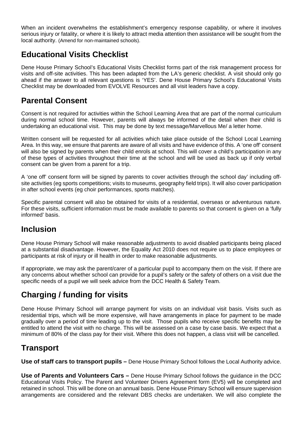When an incident overwhelms the establishment's emergency response capability, or where it involves serious injury or fatality, or where it is likely to attract media attention then assistance will be sought from the local authority. (Amend for non-maintained schools).

## **Educational Visits Checklist**

Dene House Primary School's Educational Visits Checklist forms part of the risk management process for visits and off-site activities. This has been adapted from the LA's generic checklist. A visit should only go ahead if the answer to all relevant questions is 'YES'. Dene House Primary School's Educational Visits Checklist may be downloaded from EVOLVE Resources and all visit leaders have a copy.

#### **Parental Consent**

Consent is not required for activities within the School Learning Area that are part of the normal curriculum during normal school time. However, parents will always be informed of the detail when their child is undertaking an educational visit. This may be done by text message/Marvellous Me/ a letter home.

Written consent will be requested for all activities which take place outside of the School Local Learning Area. In this way, we ensure that parents are aware of all visits and have evidence of this. A 'one off' consent will also be signed by parents when their child enrols at school. This will cover a child's participation in any of these types of activities throughout their time at the school and will be used as back up if only verbal consent can be given from a parent for a trip.

A 'one off' consent form will be signed by parents to cover activities through the school day' including offsite activities (eg sports competitions; visits to museums, geography field trips). It will also cover participation in after school events (eg choir performances, sports matches).

Specific parental consent will also be obtained for visits of a residential, overseas or adventurous nature. For these visits, sufficient information must be made available to parents so that consent is given on a 'fully informed' basis.

#### **Inclusion**

Dene House Primary School will make reasonable adjustments to avoid disabled participants being placed at a substantial disadvantage. However, the Equality Act 2010 does not require us to place employees or participants at risk of injury or ill health in order to make reasonable adjustments.

If appropriate, we may ask the parent/carer of a particular pupil to accompany them on the visit. If there are any concerns about whether school can provide for a pupil's safety or the safety of others on a visit due the specific needs of a pupil we will seek advice from the DCC Health & Safety Team.

# **Charging / funding for visits**

Dene House Primary School will arrange payment for visits on an individual visit basis. Visits such as residential trips, which will be more expensive, will have arrangements in place for payment to be made gradually over a period of time leading up to the visit. Those pupils who receive specific benefits may be entitled to attend the visit with no charge. This will be assessed on a case by case basis. We expect that a minimum of 80% of the class pay for their visit. Where this does not happen, a class visit will be cancelled.

#### **Transport**

**Use of staff cars to transport pupils –** Dene House Primary School follows the Local Authority advice.

**Use of Parents and Volunteers Cars –** Dene House Primary School follows the guidance in the DCC Educational Visits Policy. The Parent and Volunteer Drivers Agreement form (EV5) will be completed and retained in school. This will be done on an annual basis. Dene House Primary School will ensure supervision arrangements are considered and the relevant DBS checks are undertaken. We will also complete the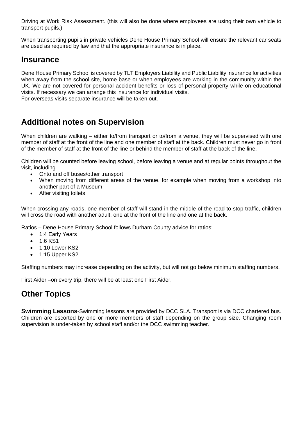Driving at Work Risk Assessment. (this will also be done where employees are using their own vehicle to transport pupils.)

When transporting pupils in private vehicles Dene House Primary School will ensure the relevant car seats are used as required by law and that the appropriate insurance is in place.

#### **Insurance**

Dene House Primary School is covered by TLT Employers Liability and Public Liability insurance for activities when away from the school site, home base or when employees are working in the community within the UK. We are not covered for personal accident benefits or loss of personal property while on educational visits. If necessary we can arrange this insurance for individual visits. For overseas visits separate insurance will be taken out.

#### **Additional notes on Supervision**

When children are walking – either to/from transport or to/from a venue, they will be supervised with one member of staff at the front of the line and one member of staff at the back. Children must never go in front of the member of staff at the front of the line or behind the member of staff at the back of the line.

Children will be counted before leaving school, before leaving a venue and at regular points throughout the visit, including –

- Onto and off buses/other transport
- When moving from different areas of the venue, for example when moving from a workshop into another part of a Museum
- After visiting toilets

When crossing any roads, one member of staff will stand in the middle of the road to stop traffic, children will cross the road with another adult, one at the front of the line and one at the back.

Ratios – Dene House Primary School follows Durham County advice for ratios:

- 1:4 Early Years
- 1:6 KS1
- 1:10 Lower KS2
- 1:15 Upper KS2

Staffing numbers may increase depending on the activity, but will not go below minimum staffing numbers.

First Aider –on every trip, there will be at least one First Aider.

#### **Other Topics**

**Swimming Lessons**-Swimming lessons are provided by DCC SLA. Transport is via DCC chartered bus. Children are escorted by one or more members of staff depending on the group size. Changing room supervision is under-taken by school staff and/or the DCC swimming teacher.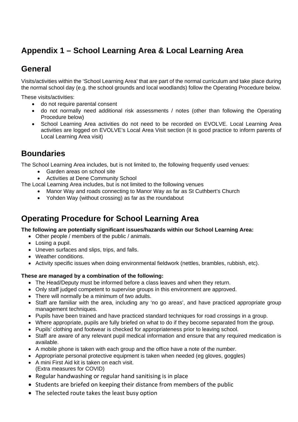# **Appendix 1 – School Learning Area & Local Learning Area**

## **General**

Visits/activities within the 'School Learning Area' that are part of the normal curriculum and take place during the normal school day (e.g. the school grounds and local woodlands) follow the Operating Procedure below.

These visits/activities:

- do not require parental consent
- do not normally need additional risk assessments / notes (other than following the Operating Procedure below)
- School Learning Area activities do not need to be recorded on EVOLVE. Local Learning Area activities are logged on EVOLVE's Local Area Visit section (it is good practice to inform parents of Local Learning Area visit)

# **Boundaries**

The School Learning Area includes, but is not limited to, the following frequently used venues:

- Garden areas on school site
- Activities at Dene Community School

The Local Learning Area includes, but is not limited to the following venues

- Manor Way and roads connecting to Manor Way as far as St Cuthbert's Church
- Yohden Way (without crossing) as far as the roundabout

### **Operating Procedure for School Learning Area**

**The following are potentially significant issues/hazards within our School Learning Area:**

- Other people / members of the public / animals.
- Losing a pupil.
- Uneven surfaces and slips, trips, and falls.
- Weather conditions.
- Activity specific issues when doing environmental fieldwork (nettles, brambles, rubbish, etc).

#### **These are managed by a combination of the following:**

- The Head/Deputy must be informed before a class leaves and when they return.
- Only staff judged competent to supervise groups in this environment are approved.
- There will normally be a minimum of two adults.
- Staff are familiar with the area, including any 'no go areas', and have practiced appropriate group management techniques.
- Pupils have been trained and have practiced standard techniques for road crossings in a group.
- Where appropriate, pupils are fully briefed on what to do if they become separated from the group.
- Pupils' clothing and footwear is checked for appropriateness prior to leaving school.
- Staff are aware of any relevant pupil medical information and ensure that any required medication is available.
- A mobile phone is taken with each group and the office have a note of the number.
- Appropriate personal protective equipment is taken when needed (eq gloves, goggles)
- A mini First Aid kit is taken on each visit. (Extra measures for COVID)
- Regular handwashing or regular hand sanitising is in place
- Students are briefed on keeping their distance from members of the public
- The selected route takes the least busy option